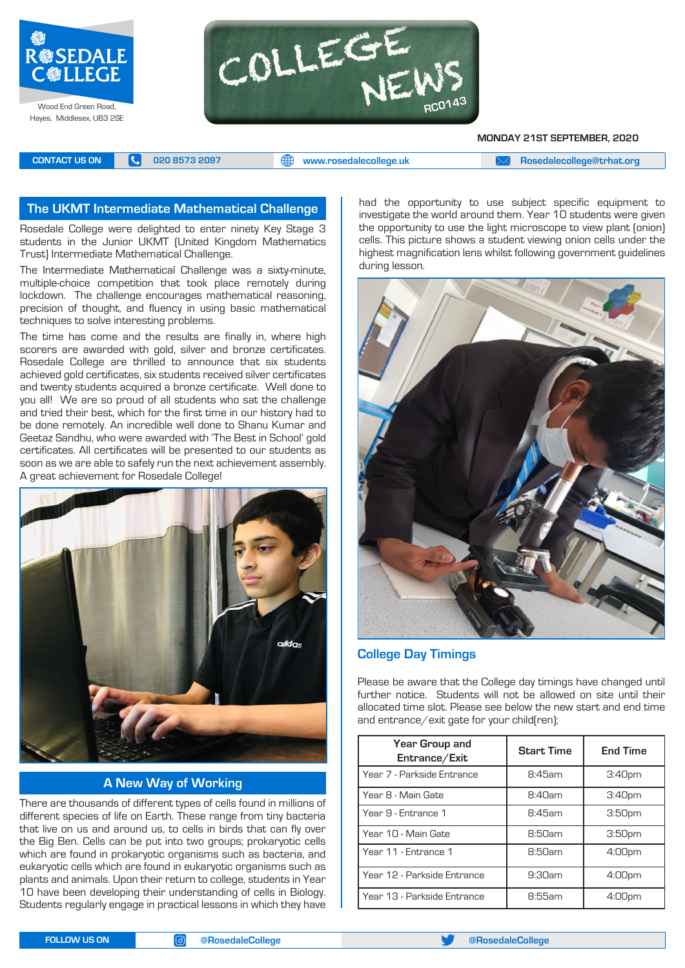



**MONDAY 21ST SEPTEMBER, 2020**

**CONTACT US ON <b>C** 020 8573 2097 **C** 020 8573 2097 **CONTACT US ON EXAM Rosedalecollege@trhat.org** 

#### **The UKMT Intermediate Mathematical Challenge**

Rosedale College were delighted to enter ninety Key Stage 3 students in the Junior UKMT (United Kingdom Mathematics Trust) Intermediate Mathematical Challenge.

The Intermediate Mathematical Challenge was a sixty-minute, multiple-choice competition that took place remotely during lockdown. The challenge encourages mathematical reasoning, precision of thought, and fluency in using basic mathematical techniques to solve interesting problems.

The time has come and the results are finally in, where high scorers are awarded with gold, silver and bronze certificates. Rosedale College are thrilled to announce that six students achieved gold certificates, six students received silver certificates and twenty students acquired a bronze certificate. Well done to you all! We are so proud of all students who sat the challenge and tried their best, which for the first time in our history had to be done remotely. An incredible well done to Shanu Kumar and Geetaz Sandhu, who were awarded with 'The Best in School' gold certificates. All certificates will be presented to our students as soon as we are able to safely run the next achievement assembly. A great achievement for Rosedale College!



**A New Way of Working**

There are thousands of different types of cells found in millions of different species of life on Earth. These range from tiny bacteria that live on us and around us, to cells in birds that can fly over the Big Ben. Cells can be put into two groups; prokaryotic cells which are found in prokaryotic organisms such as bacteria, and eukaryotic cells which are found in eukaryotic organisms such as plants and animals. Upon their return to college, students in Year 10 have been developing their understanding of cells in Biology. Students regularly engage in practical lessons in which they have

had the opportunity to use subject specific equipment to investigate the world around them. Year 10 students were given the opportunity to use the light microscope to view plant (onion) cells. This picture shows a student viewing onion cells under the highest magnification lens whilst following government guidelines during lesson.



#### **College Day Timings**

Please be aware that the College day timings have changed until further notice. Students will not be allowed on site until their allocated time slot. Please see below the new start and end time and entrance/exit gate for your child(ren);

| Year Group and<br>Entrance/Exit | <b>Start Time</b> | <b>End Time</b>    |
|---------------------------------|-------------------|--------------------|
| Year 7 - Parkside Entrance      | 8:45am            | 3:40 <sub>pm</sub> |
| Year 8 - Main Gate              | 8:40am            | 3:40 <sub>pm</sub> |
| Year 9 - Entrance 1             | R:45am            | 3:50 <sub>pm</sub> |
| Year 10 - Main Gate             | 8:50am            | 3:50 <sub>pm</sub> |
| Year 11 - Entrance 1            | 8:50am            | 4:00pm             |
| Year 12 - Parkside Entrance     | 9:30am            | 4:00 <sub>pm</sub> |
| Year 13 - Parkside Entrance     | 8:55am            | 4:00 <sub>pm</sub> |